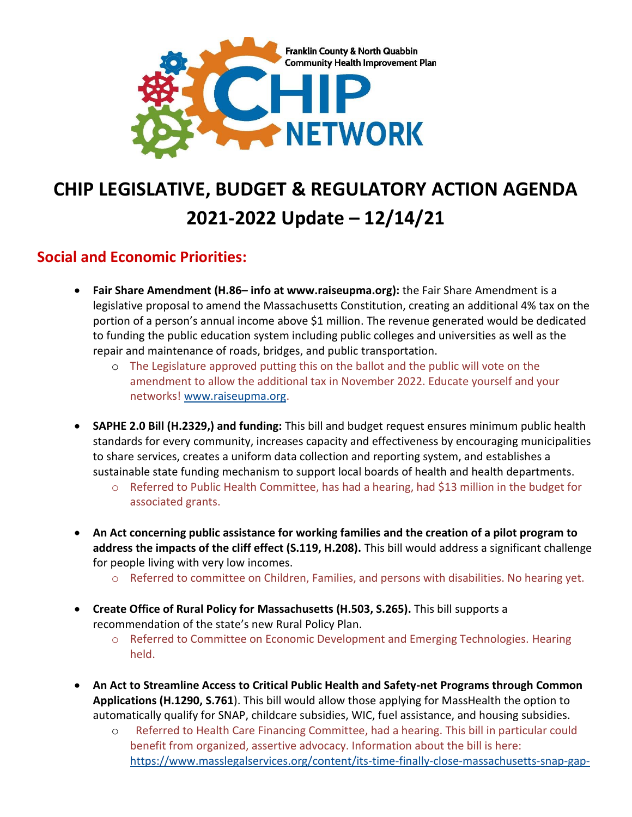

# **CHIP LEGISLATIVE, BUDGET & REGULATORY ACTION AGENDA 2021-2022 Update – 12/14/21**

#### **Social and Economic Priorities:**

- **Fair Share Amendment (H.86– info at www.raiseupma.org):** the Fair Share Amendment is a legislative proposal to amend the Massachusetts Constitution, creating an additional 4% tax on the portion of a person's annual income above \$1 million. The revenue generated would be dedicated to funding the public education system including public colleges and universities as well as the repair and maintenance of roads, bridges, and public transportation.
	- o The Legislature approved putting this on the ballot and the public will vote on the amendment to allow the additional tax in November 2022. Educate yourself and your networks! [www.raiseupma.org.](http://www.raiseupma.org/)
- **SAPHE 2.0 Bill (H.2329,) and funding:** This bill and budget request ensures minimum public health standards for every community, increases capacity and effectiveness by encouraging municipalities to share services, creates a uniform data collection and reporting system, and establishes a sustainable state funding mechanism to support local boards of health and health departments.
	- $\circ$  Referred to Public Health Committee, has had a hearing, had \$13 million in the budget for associated grants.
- **An Act concerning public assistance for working families and the creation of a pilot program to address the impacts of the cliff effect (S.119, H.208).** This bill would address a significant challenge for people living with very low incomes.
	- o Referred to committee on Children, Families, and persons with disabilities. No hearing yet.
- **Create Office of Rural Policy for Massachusetts (H.503, S.265).** This bill supports a recommendation of the state's new Rural Policy Plan.
	- o Referred to Committee on Economic Development and Emerging Technologies. Hearing held.
- **An Act to Streamline Access to Critical Public Health and Safety-net Programs through Common Applications (H.1290, S.761**). This bill would allow those applying for MassHealth the option to automatically qualify for SNAP, childcare subsidies, WIC, fuel assistance, and housing subsidies.
	- o Referred to Health Care Financing Committee, had a hearing. This bill in particular could benefit from organized, assertive advocacy. Information about the bill is here: [https://www.masslegalservices.org/content/its-time-finally-close-massachusetts-snap-gap-](https://www.masslegalservices.org/content/its-time-finally-close-massachusetts-snap-gap-and-expand-common-apps-2021)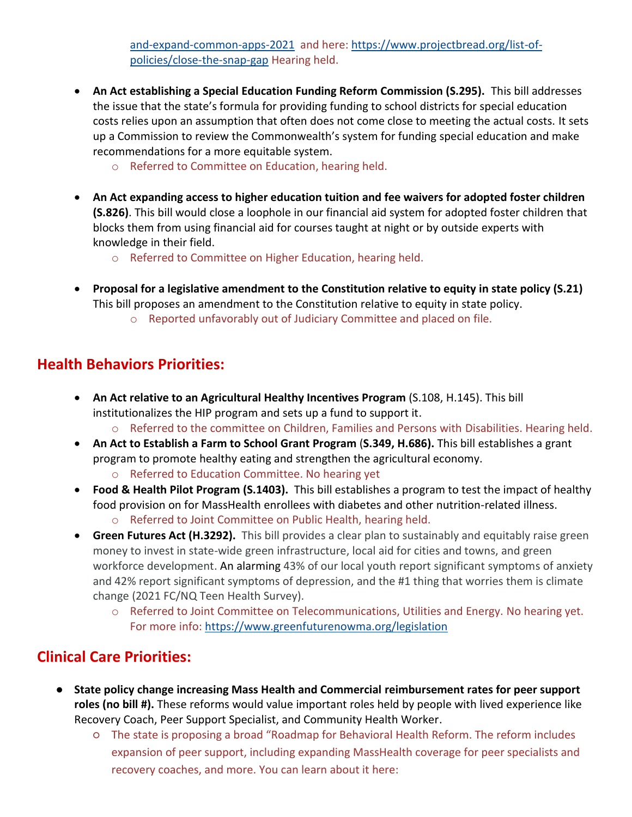[and-expand-common-apps-2021](https://www.masslegalservices.org/content/its-time-finally-close-massachusetts-snap-gap-and-expand-common-apps-2021) and here: [https://www.projectbread.org/list-of](https://www.projectbread.org/list-of-policies/close-the-snap-gap)[policies/close-the-snap-gap](https://www.projectbread.org/list-of-policies/close-the-snap-gap) Hearing held.

- **An Act establishing a Special Education Funding Reform Commission (S.295).** This bill addresses the issue that the state's formula for providing funding to school districts for special education costs relies upon an assumption that often does not come close to meeting the actual costs. It sets up a Commission to review the Commonwealth's system for funding special education and make recommendations for a more equitable system.
	- o Referred to Committee on Education, hearing held.
- **An Act expanding access to higher education tuition and fee waivers for adopted foster children (S.826)**. This bill would close a loophole in our financial aid system for adopted foster children that blocks them from using financial aid for courses taught at night or by outside experts with knowledge in their field.
	- o Referred to Committee on Higher Education, hearing held.
- **Proposal for a legislative amendment to the Constitution relative to equity in state policy (S.21)** This bill proposes an amendment to the Constitution relative to equity in state policy. o Reported unfavorably out of Judiciary Committee and placed on file.

## **Health Behaviors Priorities:**

- **An Act relative to an Agricultural Healthy Incentives Program** (S.108, H.145). This bill institutionalizes the HIP program and sets up a fund to support it.
	- o Referred to the committee on Children, Families and Persons with Disabilities. Hearing held.
- **An Act to Establish a Farm to School Grant Program** (**S.349, H.686).** This bill establishes a grant program to promote healthy eating and strengthen the agricultural economy.
	- o Referred to Education Committee. No hearing yet
- **Food & Health Pilot Program (S.1403).** This bill establishes a program to test the impact of healthy food provision on for MassHealth enrollees with diabetes and other nutrition-related illness. o Referred to Joint Committee on Public Health, hearing held.
- **Green Futures Act (H.3292).** This bill provides a clear plan to sustainably and equitably raise green money to invest in state-wide green infrastructure, local aid for cities and towns, and green workforce development. An alarming 43% of our local youth report significant symptoms of anxiety and 42% report significant symptoms of depression, and the #1 thing that worries them is climate change (2021 FC/NQ Teen Health Survey).
	- o Referred to Joint Committee on Telecommunications, Utilities and Energy. No hearing yet. For more info: <https://www.greenfuturenowma.org/legislation>

## **Clinical Care Priorities:**

- **State policy change increasing Mass Health and Commercial reimbursement rates for peer support roles (no bill #).** These reforms would value important roles held by people with lived experience like Recovery Coach, Peer Support Specialist, and Community Health Worker.
	- The state is proposing a broad "Roadmap for Behavioral Health Reform. The reform includes expansion of peer support, including expanding MassHealth coverage for peer specialists and recovery coaches, and more. You can learn about it here: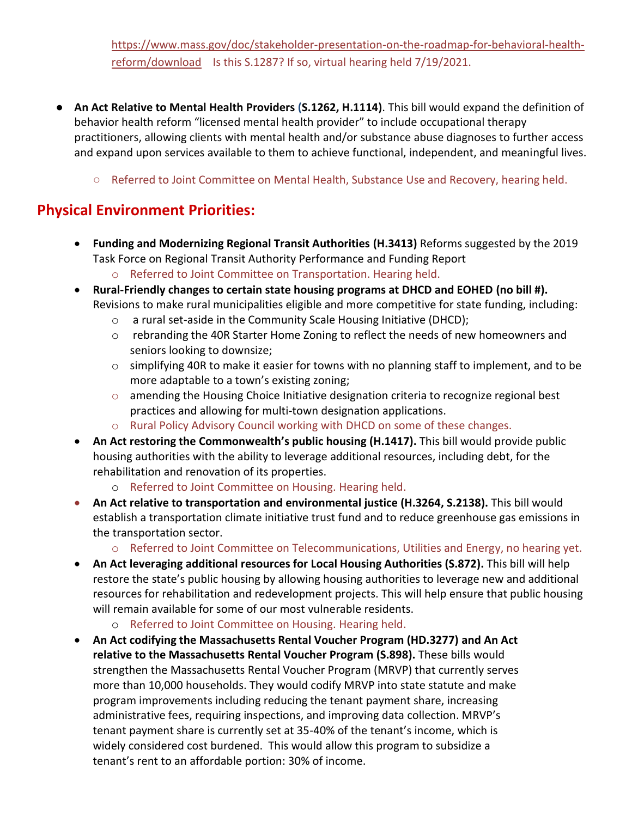[https://www.mass.gov/doc/stakeholder-presentation-on-the-roadmap-for-behavioral-health](https://www.mass.gov/doc/stakeholder-presentation-on-the-roadmap-for-behavioral-health-reform/download)[reform/download](https://www.mass.gov/doc/stakeholder-presentation-on-the-roadmap-for-behavioral-health-reform/download) Is this S.1287? If so, virtual hearing held 7/19/2021.

- **An Act Relative to Mental Health Providers (S.1262, H.1114)**. This bill would expand the definition of behavior health reform "licensed mental health provider" to include occupational therapy practitioners, allowing clients with mental health and/or substance abuse diagnoses to further access and expand upon services available to them to achieve functional, independent, and meaningful lives.
	- Referred to Joint Committee on Mental Health, Substance Use and Recovery, hearing held.

### **Physical Environment Priorities:**

- **Funding and Modernizing Regional Transit Authorities (H.3413)** Reforms suggested by the 2019 Task Force on Regional Transit Authority Performance and Funding Report
	- o Referred to Joint Committee on Transportation. Hearing held.
- **Rural-Friendly changes to certain state housing programs at DHCD and EOHED (no bill #).**  Revisions to make rural municipalities eligible and more competitive for state funding, including:
	- o a rural set-aside in the Community Scale Housing Initiative (DHCD);
	- o rebranding the 40R Starter Home Zoning to reflect the needs of new homeowners and seniors looking to downsize;
	- o simplifying 40R to make it easier for towns with no planning staff to implement, and to be more adaptable to a town's existing zoning;
	- o amending the Housing Choice Initiative designation criteria to recognize regional best practices and allowing for multi-town designation applications.
	- o Rural Policy Advisory Council working with DHCD on some of these changes.
- **An Act restoring the Commonwealth's public housing (H.1417).** This bill would provide public housing authorities with the ability to leverage additional resources, including debt, for the rehabilitation and renovation of its properties.
	- o Referred to Joint Committee on Housing. Hearing held.
- **An Act relative to transportation and environmental justice (H.3264, S.2138).** This bill would establish a transportation climate initiative trust fund and to reduce greenhouse gas emissions in the transportation sector.
	- o Referred to Joint Committee on Telecommunications, Utilities and Energy, no hearing yet.
- **An Act leveraging additional resources for Local Housing Authorities (S.872).** This bill will help restore the state's public housing by allowing housing authorities to leverage new and additional resources for rehabilitation and redevelopment projects. This will help ensure that public housing will remain available for some of our most vulnerable residents.
	- o Referred to Joint Committee on Housing. Hearing held.
- **An Act codifying the Massachusetts Rental Voucher Program (HD.3277) and An Act relative to the Massachusetts Rental Voucher Program (S.898).** These bills would strengthen the Massachusetts Rental Voucher Program (MRVP) that currently serves more than 10,000 households. They would codify MRVP into state statute and make program improvements including reducing the tenant payment share, increasing administrative fees, requiring inspections, and improving data collection. MRVP's tenant payment share is currently set at 35-40% of the tenant's income, which is widely considered cost burdened. This would allow this program to subsidize a tenant's rent to an affordable portion: 30% of income.